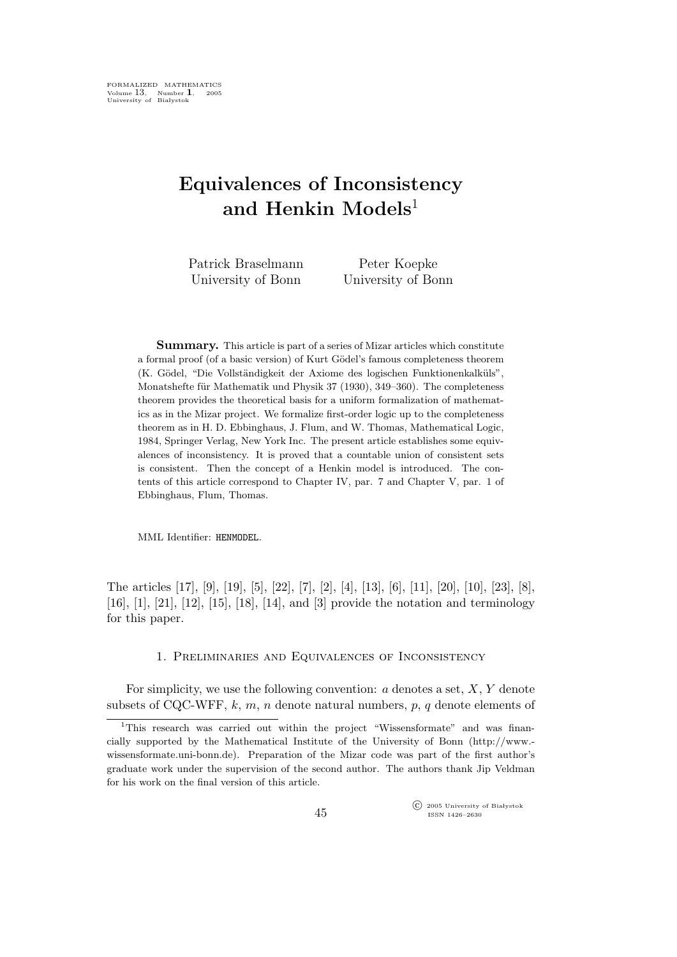# Equivalences of Inconsistency and Henkin Models<sup>1</sup>

| Patrick Braselmann | Peter Koepke       |
|--------------------|--------------------|
| University of Bonn | University of Bonn |

Summary. This article is part of a series of Mizar articles which constitute a formal proof (of a basic version) of Kurt Gödel's famous completeness theorem (K. Gödel, "Die Vollständigkeit der Axiome des logischen Funktionenkalküls", Monatshefte für Mathematik und Physik 37 (1930), 349–360). The completeness theorem provides the theoretical basis for a uniform formalization of mathematics as in the Mizar project. We formalize first-order logic up to the completeness theorem as in H. D. Ebbinghaus, J. Flum, and W. Thomas, Mathematical Logic, 1984, Springer Verlag, New York Inc. The present article establishes some equivalences of inconsistency. It is proved that a countable union of consistent sets is consistent. Then the concept of a Henkin model is introduced. The contents of this article correspond to Chapter IV, par. 7 and Chapter V, par. 1 of Ebbinghaus, Flum, Thomas.

MML Identifier: HENMODEL.

The articles [17], [9], [19], [5], [22], [7], [2], [4], [13], [6], [11], [20], [10], [23], [8], [16], [1], [21], [12], [15], [18], [14], and [3] provide the notation and terminology for this paper.

# 1. Preliminaries and Equivalences of Inconsistency

For simplicity, we use the following convention:  $a$  denotes a set,  $X, Y$  denote subsets of CQC-WFF, k, m, n denote natural numbers, p, q denote elements of

 $\widehat{\mathbb{C}}$  2005 University of Białystok ISSN 1426–2630

<sup>&</sup>lt;sup>1</sup>This research was carried out within the project "Wissensformate" and was financially supported by the Mathematical Institute of the University of Bonn (http://www. wissensformate.uni-bonn.de). Preparation of the Mizar code was part of the first author's graduate work under the supervision of the second author. The authors thank Jip Veldman for his work on the final version of this article.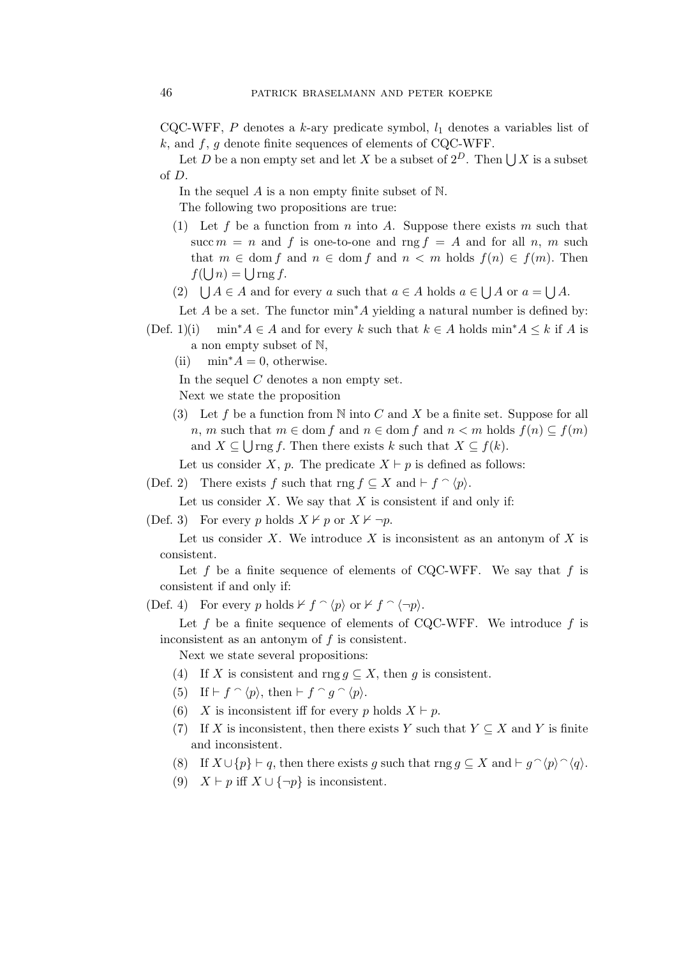CQC-WFF, P denotes a k-ary predicate symbol,  $l_1$  denotes a variables list of  $k$ , and  $f$ ,  $g$  denote finite sequences of elements of CQC-WFF.

Let D be a non empty set and let X be a subset of  $2^D$ . Then  $\bigcup X$  is a subset of D.

In the sequel  $A$  is a non empty finite subset of  $\mathbb N$ .

The following two propositions are true:

- (1) Let f be a function from n into A. Suppose there exists m such that succ  $m = n$  and f is one-to-one and rng  $f = A$  and for all n, m such that  $m \in \text{dom } f$  and  $n \in \text{dom } f$  and  $n < m$  holds  $f(n) \in f(m)$ . Then  $f(\bigcup n) = \bigcup \text{rng } f.$
- (2)  $\bigcup A \in A$  and for every a such that  $a \in A$  holds  $a \in \bigcup A$  or  $a = \bigcup A$ .

Let A be a set. The functor  $\min^* A$  yielding a natural number is defined by:

- (Def. 1)(i) min<sup>∗</sup> $A \in A$  and for every k such that  $k \in A$  holds min<sup>∗</sup> $A \leq k$  if A is a non empty subset of N,
	- (ii)  $\min^* A = 0$ , otherwise.

In the sequel  $C$  denotes a non empty set.

Next we state the proposition

(3) Let f be a function from N into C and X be a finite set. Suppose for all n, m such that  $m \in \text{dom } f$  and  $n \in \text{dom } f$  and  $n < m$  holds  $f(n) \subseteq f(m)$ and  $X \subseteq \bigcup$  rng f. Then there exists k such that  $X \subseteq f(k)$ .

Let us consider X, p. The predicate  $X \vdash p$  is defined as follows:

(Def. 2) There exists f such that rng  $f \subseteq X$  and  $\vdash f \cap \langle p \rangle$ .

Let us consider  $X$ . We say that  $X$  is consistent if and only if:

(Def. 3) For every p holds  $X \nvdash p$  or  $X \nvdash \neg p$ .

Let us consider X. We introduce X is inconsistent as an antonym of X is consistent.

Let f be a finite sequence of elements of CQC-WFF. We say that f is consistent if and only if:

(Def. 4) For every p holds  $\nvdash f \cap \langle p \rangle$  or  $\nvdash f \cap \langle \neg p \rangle$ .

Let  $f$  be a finite sequence of elements of CQC-WFF. We introduce  $f$  is inconsistent as an antonym of  $f$  is consistent.

Next we state several propositions:

- (4) If X is consistent and rng  $g \subseteq X$ , then g is consistent.
- (5) If  $\vdash f \cap \langle p \rangle$ , then  $\vdash f \cap g \cap \langle p \rangle$ .
- (6) X is inconsistent iff for every p holds  $X \vdash p$ .
- (7) If X is inconsistent, then there exists Y such that  $Y \subseteq X$  and Y is finite and inconsistent.
- (8) If  $X \cup \{p\} \vdash q$ , then there exists g such that rng  $g \subseteq X$  and  $\vdash g \cap \langle p \rangle \cap \langle q \rangle$ .
- (9)  $X \vdash p$  iff  $X \cup {\neg p}$  is inconsistent.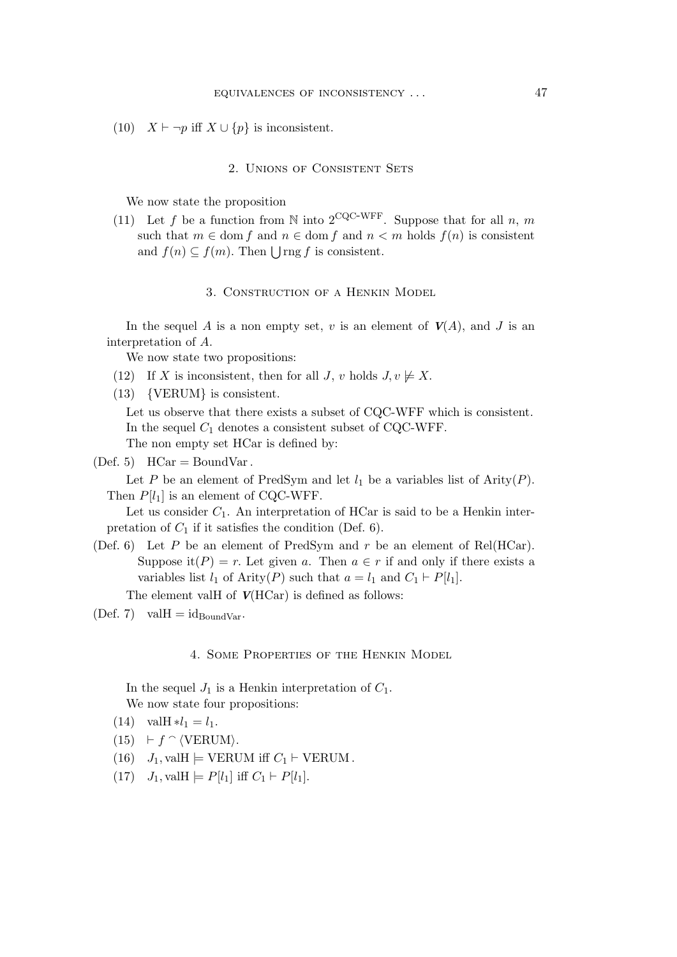(10)  $X \vdash \neg p$  iff  $X \cup \{p\}$  is inconsistent.

## 2. Unions of Consistent Sets

We now state the proposition

(11) Let f be a function from N into 2<sup>CQC-WFF</sup>. Suppose that for all n, m such that  $m \in \text{dom } f$  and  $n \in \text{dom } f$  and  $n < m$  holds  $f(n)$  is consistent and  $f(n) \subseteq f(m)$ . Then  $\bigcup$ rng f is consistent.

# 3. Construction of a Henkin Model

In the sequel A is a non empty set, v is an element of  $V(A)$ , and J is an interpretation of A.

We now state two propositions:

- (12) If X is inconsistent, then for all J, v holds  $J, v \not\models X$ .
- (13) {VERUM} is consistent.

Let us observe that there exists a subset of CQC-WFF which is consistent. In the sequel  $C_1$  denotes a consistent subset of CQC-WFF. The non empty set HCar is defined by:

 $(Def. 5)$  HCar = BoundVar.

Let P be an element of PredSym and let  $l_1$  be a variables list of Arity(P). Then  $P[l_1]$  is an element of CQC-WFF.

Let us consider  $C_1$ . An interpretation of HCar is said to be a Henkin interpretation of  $C_1$  if it satisfies the condition (Def. 6).

(Def. 6) Let P be an element of PredSym and r be an element of Rel(HCar). Suppose it(P) = r. Let given a. Then  $a \in r$  if and only if there exists a variables list  $l_1$  of Arity(P) such that  $a = l_1$  and  $C_1 \vdash P[l_1]$ .

The element valH of  $V(HCar)$  is defined as follows:

 $(\text{Def. 7})$  val $H = id_{\text{BoundVar}}$ .

# 4. Some Properties of the Henkin Model

In the sequel  $J_1$  is a Henkin interpretation of  $C_1$ . We now state four propositions:

- (14) valH  $*l_1 = l_1$ .
- $(15)$   $\vdash f \cap \langle \text{VERUM} \rangle$ .
- (16)  $J_1$ , valH  $\models$  VERUM iff  $C_1 \vdash$  VERUM.
- (17)  $J_1$ , val $H \models P[l_1]$  iff  $C_1 \models P[l_1]$ .